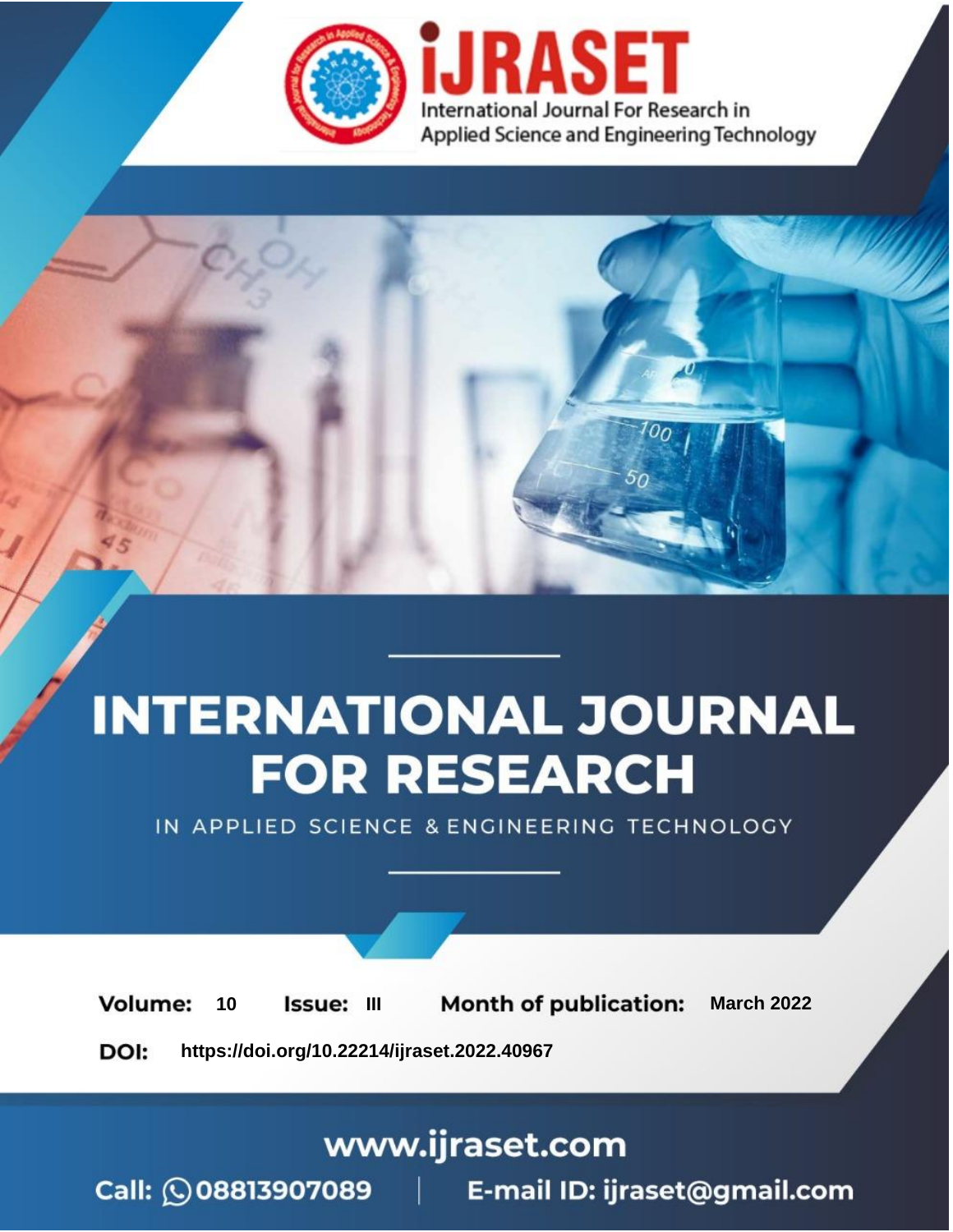

# **INTERNATIONAL JOURNAL FOR RESEARCH**

IN APPLIED SCIENCE & ENGINEERING TECHNOLOGY

**Month of publication: Volume:** 10 **Issue: III March 2022** DOI: https://doi.org/10.22214/ijraset.2022.40967

www.ijraset.com

Call: 008813907089 | E-mail ID: ijraset@gmail.com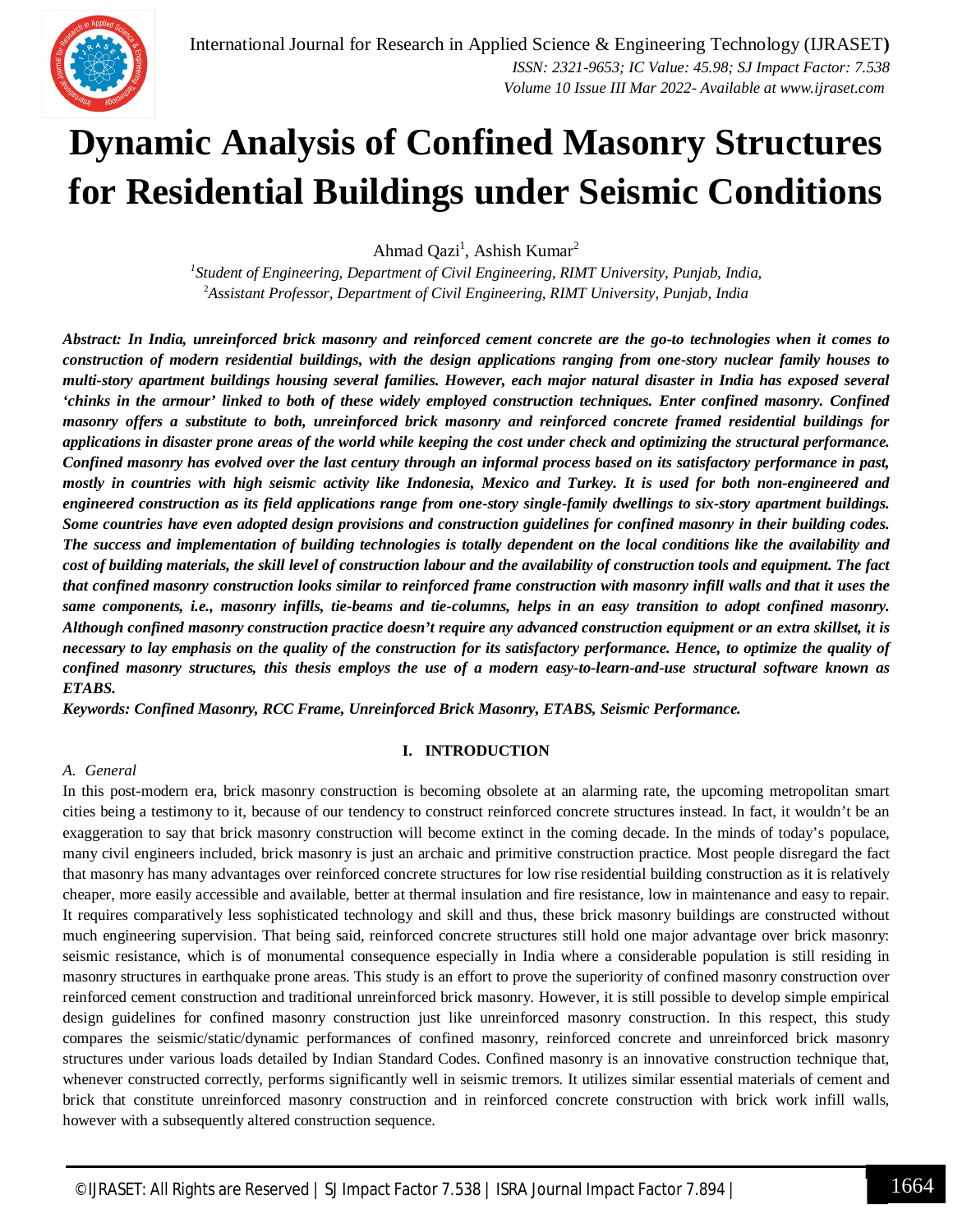

### **Dynamic Analysis of Confined Masonry Structures for Residential Buildings under Seismic Conditions**

Ahmad Qazi<sup>1</sup>, Ashish Kumar<sup>2</sup>

*1 Student of Engineering, Department of Civil Engineering, RIMT University, Punjab, India,* <sup>2</sup>*Assistant Professor, Department of Civil Engineering, RIMT University, Punjab, India*

*Abstract: In India, unreinforced brick masonry and reinforced cement concrete are the go-to technologies when it comes to construction of modern residential buildings, with the design applications ranging from one-story nuclear family houses to multi-story apartment buildings housing several families. However, each major natural disaster in India has exposed several 'chinks in the armour' linked to both of these widely employed construction techniques. Enter confined masonry. Confined masonry offers a substitute to both, unreinforced brick masonry and reinforced concrete framed residential buildings for applications in disaster prone areas of the world while keeping the cost under check and optimizing the structural performance. Confined masonry has evolved over the last century through an informal process based on its satisfactory performance in past, mostly in countries with high seismic activity like Indonesia, Mexico and Turkey. It is used for both non-engineered and engineered construction as its field applications range from one-story single-family dwellings to six-story apartment buildings. Some countries have even adopted design provisions and construction guidelines for confined masonry in their building codes. The success and implementation of building technologies is totally dependent on the local conditions like the availability and cost of building materials, the skill level of construction labour and the availability of construction tools and equipment. The fact that confined masonry construction looks similar to reinforced frame construction with masonry infill walls and that it uses the same components, i.e., masonry infills, tie-beams and tie-columns, helps in an easy transition to adopt confined masonry. Although confined masonry construction practice doesn't require any advanced construction equipment or an extra skillset, it is necessary to lay emphasis on the quality of the construction for its satisfactory performance. Hence, to optimize the quality of confined masonry structures, this thesis employs the use of a modern easy-to-learn-and-use structural software known as ETABS.*

*Keywords: Confined Masonry, RCC Frame, Unreinforced Brick Masonry, ETABS, Seismic Performance.*

#### **I. INTRODUCTION**

#### *A. General*

In this post-modern era, brick masonry construction is becoming obsolete at an alarming rate, the upcoming metropolitan smart cities being a testimony to it, because of our tendency to construct reinforced concrete structures instead. In fact, it wouldn't be an exaggeration to say that brick masonry construction will become extinct in the coming decade. In the minds of today's populace, many civil engineers included, brick masonry is just an archaic and primitive construction practice. Most people disregard the fact that masonry has many advantages over reinforced concrete structures for low rise residential building construction as it is relatively cheaper, more easily accessible and available, better at thermal insulation and fire resistance, low in maintenance and easy to repair. It requires comparatively less sophisticated technology and skill and thus, these brick masonry buildings are constructed without much engineering supervision. That being said, reinforced concrete structures still hold one major advantage over brick masonry: seismic resistance, which is of monumental consequence especially in India where a considerable population is still residing in masonry structures in earthquake prone areas. This study is an effort to prove the superiority of confined masonry construction over reinforced cement construction and traditional unreinforced brick masonry. However, it is still possible to develop simple empirical design guidelines for confined masonry construction just like unreinforced masonry construction. In this respect, this study compares the seismic/static/dynamic performances of confined masonry, reinforced concrete and unreinforced brick masonry structures under various loads detailed by Indian Standard Codes. Confined masonry is an innovative construction technique that, whenever constructed correctly, performs significantly well in seismic tremors. It utilizes similar essential materials of cement and brick that constitute unreinforced masonry construction and in reinforced concrete construction with brick work infill walls, however with a subsequently altered construction sequence.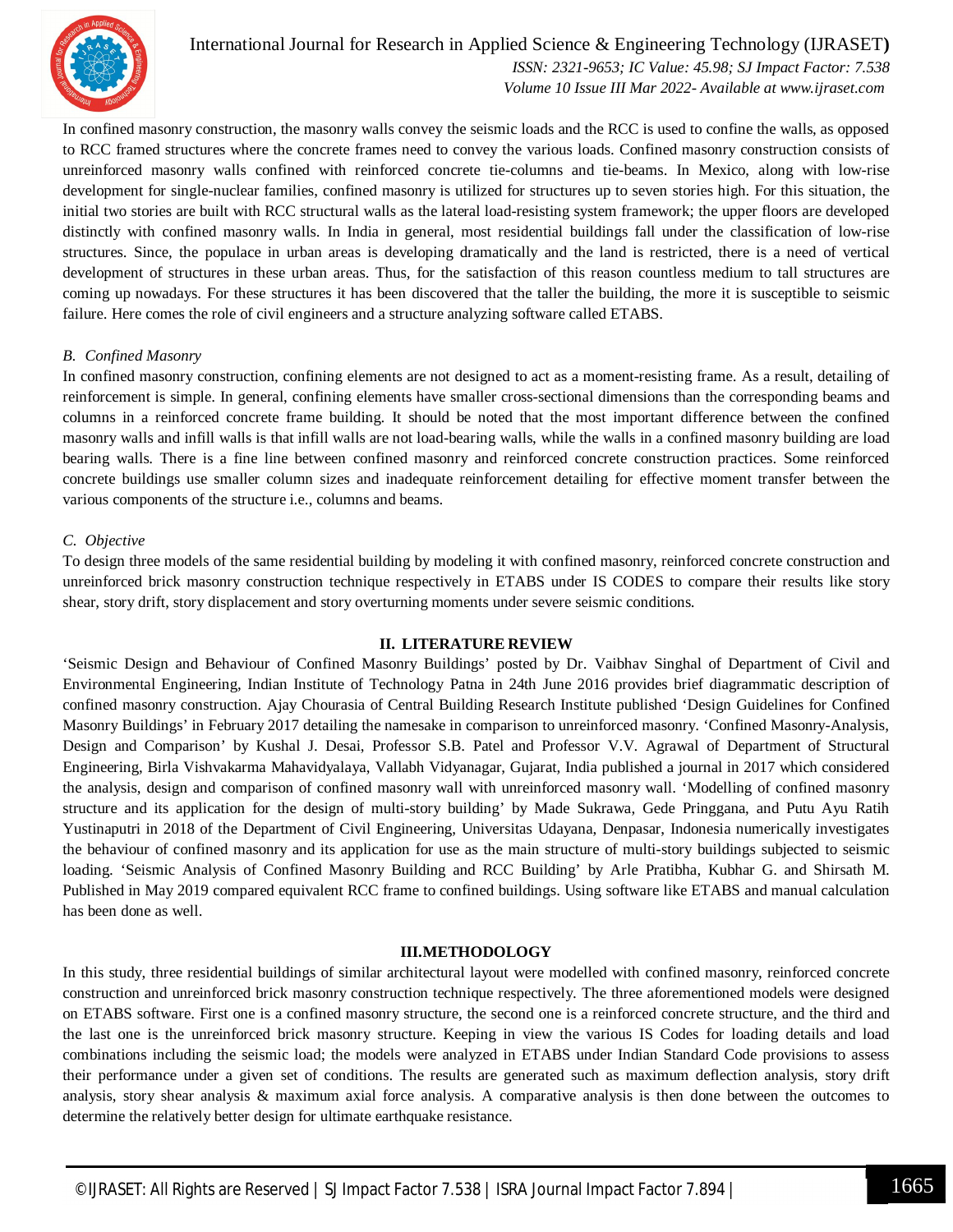

International Journal for Research in Applied Science & Engineering Technology (IJRASET**)**  *ISSN: 2321-9653; IC Value: 45.98; SJ Impact Factor: 7.538 Volume 10 Issue III Mar 2022- Available at www.ijraset.com*

In confined masonry construction, the masonry walls convey the seismic loads and the RCC is used to confine the walls, as opposed to RCC framed structures where the concrete frames need to convey the various loads. Confined masonry construction consists of unreinforced masonry walls confined with reinforced concrete tie-columns and tie-beams. In Mexico, along with low-rise development for single-nuclear families, confined masonry is utilized for structures up to seven stories high. For this situation, the initial two stories are built with RCC structural walls as the lateral load-resisting system framework; the upper floors are developed distinctly with confined masonry walls. In India in general, most residential buildings fall under the classification of low-rise structures. Since, the populace in urban areas is developing dramatically and the land is restricted, there is a need of vertical development of structures in these urban areas. Thus, for the satisfaction of this reason countless medium to tall structures are coming up nowadays. For these structures it has been discovered that the taller the building, the more it is susceptible to seismic failure. Here comes the role of civil engineers and a structure analyzing software called ETABS.

#### *B. Confined Masonry*

In confined masonry construction, confining elements are not designed to act as a moment-resisting frame. As a result, detailing of reinforcement is simple. In general, confining elements have smaller cross-sectional dimensions than the corresponding beams and columns in a reinforced concrete frame building. It should be noted that the most important difference between the confined masonry walls and infill walls is that infill walls are not load-bearing walls, while the walls in a confined masonry building are load bearing walls. There is a fine line between confined masonry and reinforced concrete construction practices. Some reinforced concrete buildings use smaller column sizes and inadequate reinforcement detailing for effective moment transfer between the various components of the structure i.e., columns and beams.

#### *C. Objective*

To design three models of the same residential building by modeling it with confined masonry, reinforced concrete construction and unreinforced brick masonry construction technique respectively in ETABS under IS CODES to compare their results like story shear, story drift, story displacement and story overturning moments under severe seismic conditions.

#### **II. LITERATURE REVIEW**

'Seismic Design and Behaviour of Confined Masonry Buildings' posted by Dr. Vaibhav Singhal of Department of Civil and Environmental Engineering, Indian Institute of Technology Patna in 24th June 2016 provides brief diagrammatic description of confined masonry construction. Ajay Chourasia of Central Building Research Institute published 'Design Guidelines for Confined Masonry Buildings' in February 2017 detailing the namesake in comparison to unreinforced masonry. 'Confined Masonry-Analysis, Design and Comparison' by Kushal J. Desai, Professor S.B. Patel and Professor V.V. Agrawal of Department of Structural Engineering, Birla Vishvakarma Mahavidyalaya, Vallabh Vidyanagar, Gujarat, India published a journal in 2017 which considered the analysis, design and comparison of confined masonry wall with unreinforced masonry wall. 'Modelling of confined masonry structure and its application for the design of multi-story building' by Made Sukrawa, Gede Pringgana, and Putu Ayu Ratih Yustinaputri in 2018 of the Department of Civil Engineering, Universitas Udayana, Denpasar, Indonesia numerically investigates the behaviour of confined masonry and its application for use as the main structure of multi-story buildings subjected to seismic loading. 'Seismic Analysis of Confined Masonry Building and RCC Building' by Arle Pratibha, Kubhar G. and Shirsath M. Published in May 2019 compared equivalent RCC frame to confined buildings. Using software like ETABS and manual calculation has been done as well.

#### **III.METHODOLOGY**

In this study, three residential buildings of similar architectural layout were modelled with confined masonry, reinforced concrete construction and unreinforced brick masonry construction technique respectively. The three aforementioned models were designed on ETABS software. First one is a confined masonry structure, the second one is a reinforced concrete structure, and the third and the last one is the unreinforced brick masonry structure. Keeping in view the various IS Codes for loading details and load combinations including the seismic load; the models were analyzed in ETABS under Indian Standard Code provisions to assess their performance under a given set of conditions. The results are generated such as maximum deflection analysis, story drift analysis, story shear analysis & maximum axial force analysis. A comparative analysis is then done between the outcomes to determine the relatively better design for ultimate earthquake resistance.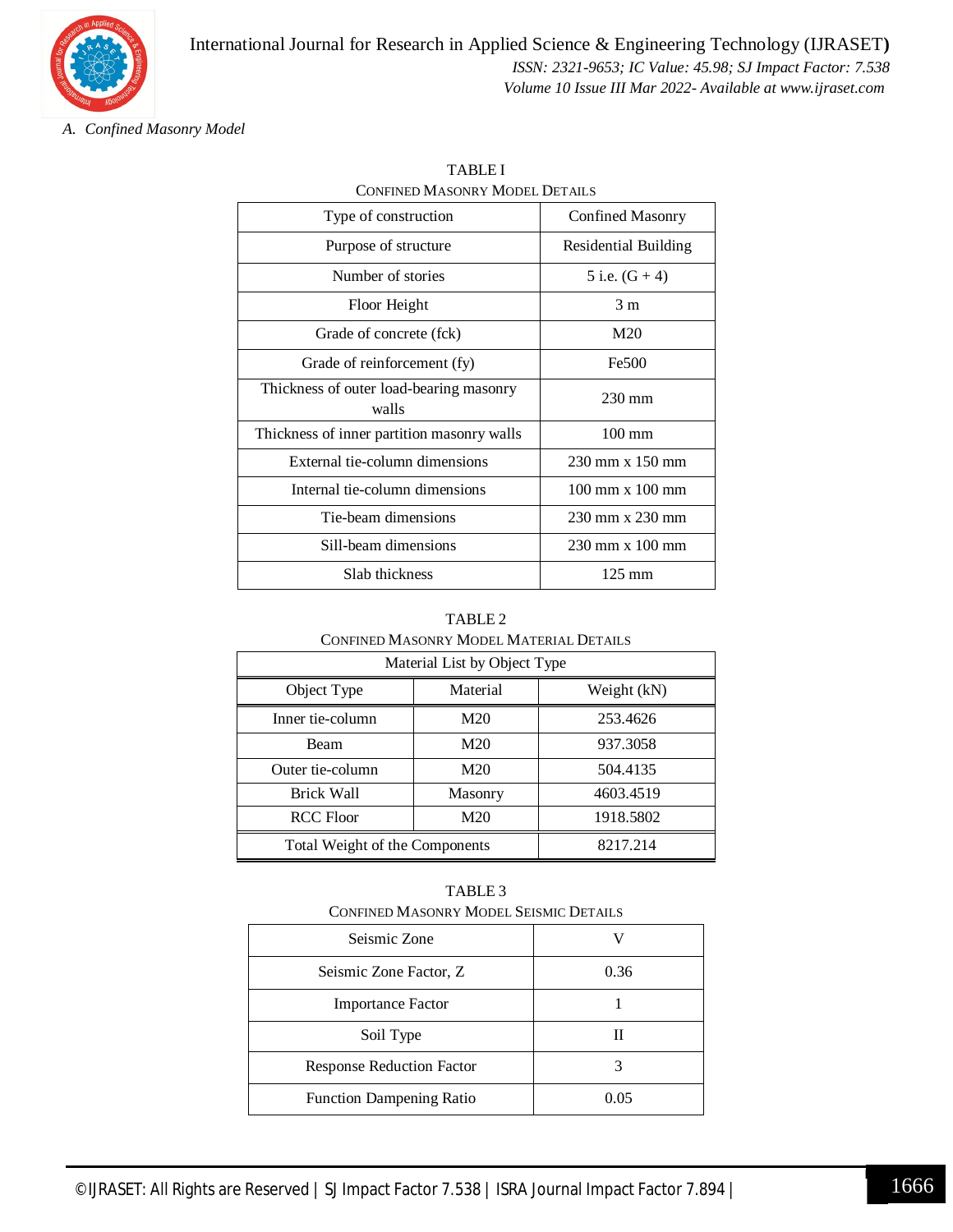

*A. Confined Masonry Model*

| Type of construction                             | Confined Masonry                       |
|--------------------------------------------------|----------------------------------------|
| Purpose of structure                             | <b>Residential Building</b>            |
| Number of stories                                | 5 i.e. $(G + 4)$                       |
| Floor Height                                     | 3 <sub>m</sub>                         |
| Grade of concrete (fck)                          | M20                                    |
| Grade of reinforcement (fy)                      | Fe500                                  |
| Thickness of outer load-bearing masonry<br>walls | $230 \text{ mm}$                       |
| Thickness of inner partition masonry walls       | $100 \text{ mm}$                       |
| External tie-column dimensions                   | 230 mm x 150 mm                        |
| Internal tie-column dimensions                   | $100 \text{ mm} \times 100 \text{ mm}$ |
| Tie-beam dimensions                              | 230 mm x 230 mm                        |
| Sill-beam dimensions                             | $230$ mm x $100$ mm                    |
| Slab thickness                                   | $125 \text{ mm}$                       |

TABLE I CONFINED MASONRY MODEL DETAILS

| TABLE <sub>2</sub>                      |
|-----------------------------------------|
| CONFINED MASONRY MODEL MATERIAL DETAILS |
|                                         |

| Material List by Object Type   |          |             |
|--------------------------------|----------|-------------|
| Object Type                    | Material | Weight (kN) |
| Inner tie-column               | M20      | 253.4626    |
| Beam                           | M20      | 937.3058    |
| Outer tie-column               | M20      | 504.4135    |
| Brick Wall                     | Masonry  | 4603.4519   |
| <b>RCC Floor</b>               | M20      | 1918.5802   |
| Total Weight of the Components |          | 8217.214    |

TABLE 3

| <b>CONFINED MASONRY MODEL SEISMIC DETAILS</b> |      |
|-----------------------------------------------|------|
| Seismic Zone                                  |      |
| Seismic Zone Factor, Z                        | 0.36 |
| <b>Importance Factor</b>                      |      |
| Soil Type                                     |      |
| <b>Response Reduction Factor</b>              |      |
| <b>Function Dampening Ratio</b>               | 0.05 |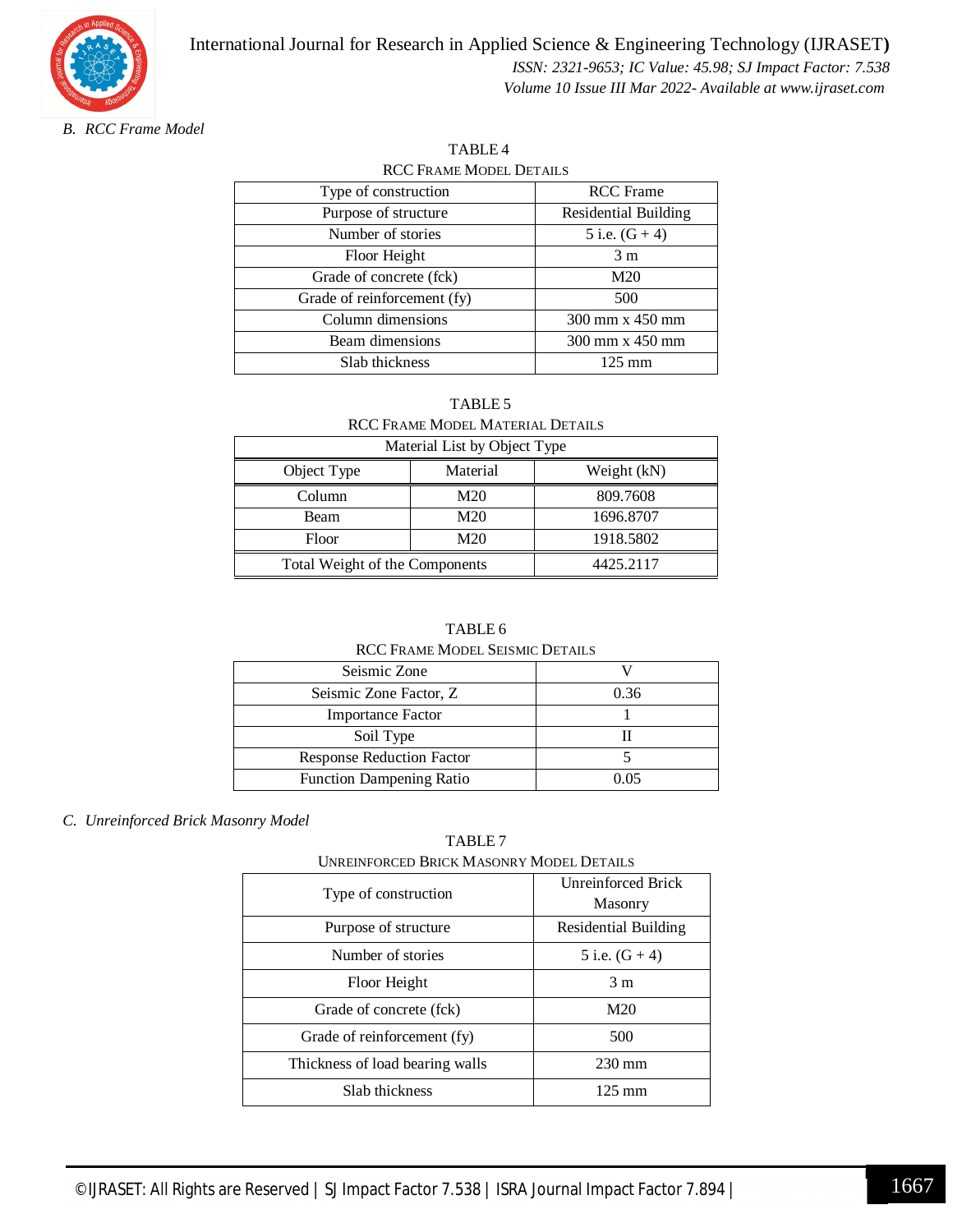

*B. RCC Frame Model*

| <b>RCC FRAME MODEL DETAILS</b> |                      |  |
|--------------------------------|----------------------|--|
| Type of construction           | <b>RCC</b> Frame     |  |
| Purpose of structure           | Residential Building |  |
| Number of stories              | 5 i.e. $(G + 4)$     |  |
| Floor Height                   | 3 <sub>m</sub>       |  |
| Grade of concrete (fck)        | M20                  |  |
| Grade of reinforcement (fy)    | 500                  |  |
| Column dimensions              | 300 mm x 450 mm      |  |
| Beam dimensions                | 300 mm x 450 mm      |  |
| Slab thickness                 | $125 \text{ mm}$     |  |

TABLE 4

#### TABLE 5 RCC FRAME MODEL MATERIAL DETAILS

| Material List by Object Type   |                 |             |
|--------------------------------|-----------------|-------------|
| Object Type                    | Material        | Weight (kN) |
| Column                         | M20             | 809.7608    |
| <b>Beam</b>                    | M <sub>20</sub> | 1696.8707   |
| Floor                          | M20             | 1918.5802   |
| Total Weight of the Components |                 | 4425.2117   |

#### TABLE 6

#### RCC FRAME MODEL SEISMIC DETAILS

| Seismic Zone                     |      |
|----------------------------------|------|
| Seismic Zone Factor, Z.          | 0.36 |
| <b>Importance Factor</b>         |      |
| Soil Type                        |      |
| <b>Response Reduction Factor</b> |      |
| <b>Function Dampening Ratio</b>  | በ በና |

#### *C. Unreinforced Brick Masonry Model*

#### TABLE 7

UNREINFORCED BRICK MASONRY MODEL DETAILS

| Type of construction            | <b>Unreinforced Brick</b><br>Masonry |
|---------------------------------|--------------------------------------|
| Purpose of structure            | Residential Building                 |
| Number of stories               | 5 i.e. $(G + 4)$                     |
| Floor Height                    | 3 <sub>m</sub>                       |
| Grade of concrete (fck)         | M20                                  |
| Grade of reinforcement (fy)     | 500                                  |
| Thickness of load bearing walls | $230 \text{ mm}$                     |
| Slab thickness                  | 125 mm                               |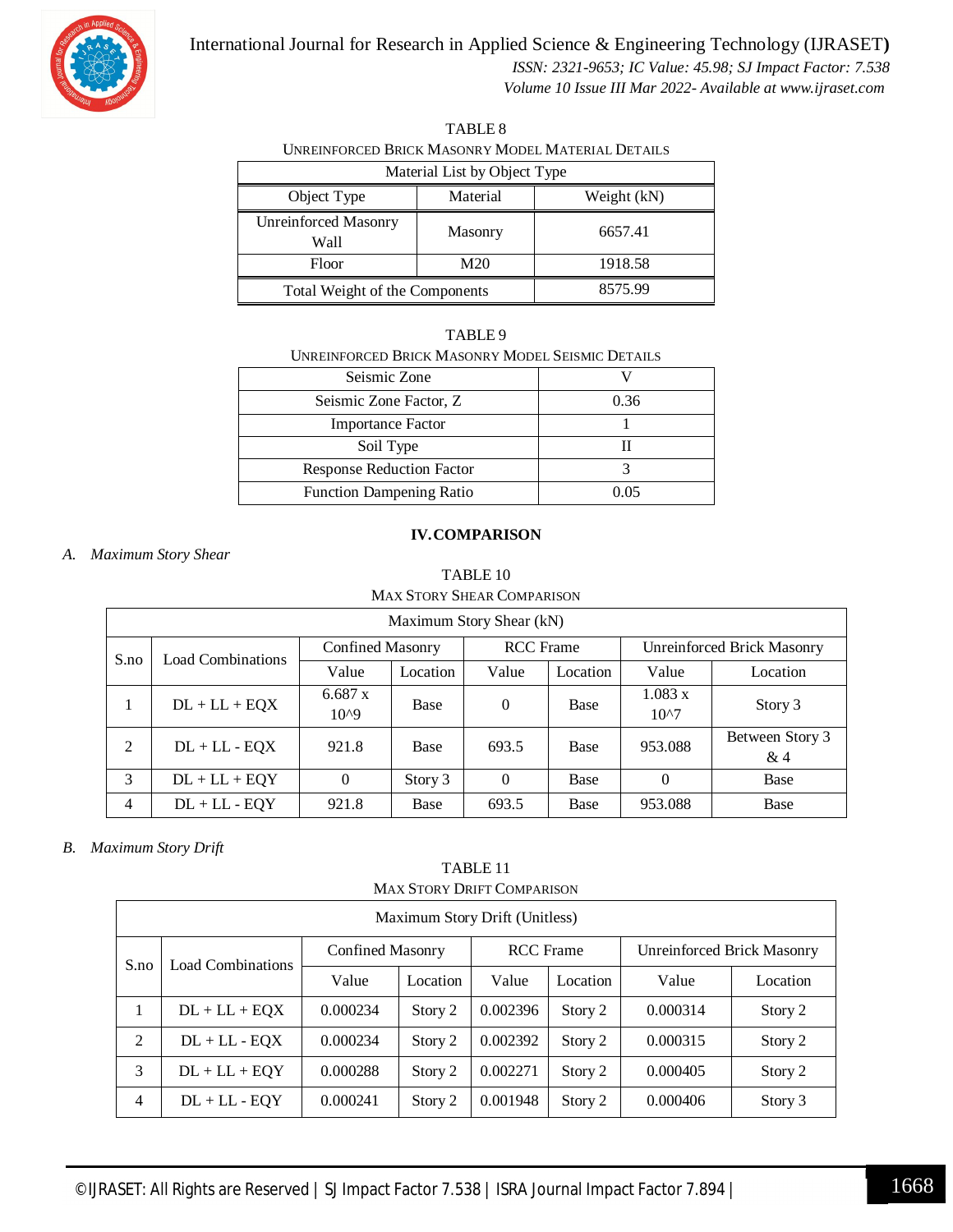

#### International Journal for Research in Applied Science & Engineering Technology (IJRASET**)**

 *ISSN: 2321-9653; IC Value: 45.98; SJ Impact Factor: 7.538 Volume 10 Issue III Mar 2022- Available at www.ijraset.com*

| TABLE 8                                           |
|---------------------------------------------------|
| UNREINFORCED BRICK MASONRY MODEL MATERIAL DETAILS |
| Material List by Object Type                      |

| Material List by Object Type        |          |             |
|-------------------------------------|----------|-------------|
| Object Type                         | Material | Weight (kN) |
| <b>Unreinforced Masonry</b><br>Wall | Masonry  | 6657.41     |
| Floor                               | M20      | 1918.58     |
| Total Weight of the Components      |          | 8575.99     |

| TABLE 9                                          |
|--------------------------------------------------|
| UNREINFORCED BRICK MASONRY MODEL SEISMIC DETAILS |

| Seismic Zone                     |        |
|----------------------------------|--------|
| Seismic Zone Factor, Z.          | 0.36   |
| <b>Importance Factor</b>         |        |
| Soil Type                        |        |
| <b>Response Reduction Factor</b> |        |
| <b>Function Dampening Ratio</b>  | () ()5 |
|                                  |        |

#### **IV.COMPARISON**

#### *A. Maximum Story Shear*

#### TABLE 10 MAX STORY SHEAR COMPARISON

| Maximum Story Shear (kN) |                          |                      |          |                  |          |                                   |                       |  |
|--------------------------|--------------------------|----------------------|----------|------------------|----------|-----------------------------------|-----------------------|--|
| S.no                     | <b>Load Combinations</b> | Confined Masonry     |          | <b>RCC</b> Frame |          | <b>Unreinforced Brick Masonry</b> |                       |  |
|                          |                          | Value                | Location | Value            | Location | Value                             | Location              |  |
|                          | $DL + LL + EQX$          | 6.687 x<br>$10^{0}9$ | Base     | 0                | Base     | 1.083 x<br>$10^{27}$              | Story 3               |  |
| 2                        | $DL + LL - EQX$          | 921.8                | Base     | 693.5            | Base     | 953.088                           | Between Story 3<br>&4 |  |
| 3                        | $DL + LL + EQY$          | $\theta$             | Story 3  | $\theta$         | Base     | $\theta$                          | Base                  |  |
| 4                        | $DL + LL - EQY$          | 921.8                | Base     | 693.5            | Base     | 953.088                           | Base                  |  |

#### *B. Maximum Story Drift*

#### TABLE 11 MAX STORY DRIFT COMPARISON

| Maximum Story Drift (Unitless) |                          |                         |          |                  |          |                            |          |  |
|--------------------------------|--------------------------|-------------------------|----------|------------------|----------|----------------------------|----------|--|
| S.no                           | <b>Load Combinations</b> | <b>Confined Masonry</b> |          | <b>RCC</b> Frame |          | Unreinforced Brick Masonry |          |  |
|                                |                          | Value                   | Location | Value            | Location | Value                      | Location |  |
| 1                              | $DL + LL + EQX$          | 0.000234                | Story 2  | 0.002396         | Story 2  | 0.000314                   | Story 2  |  |
| 2                              | $DL + LL - EQX$          | 0.000234                | Story 2  | 0.002392         | Story 2  | 0.000315                   | Story 2  |  |
| 3                              | $DL + LL + EQY$          | 0.000288                | Story 2  | 0.002271         | Story 2  | 0.000405                   | Story 2  |  |
| $\overline{4}$                 | $DL + LL - EQY$          | 0.000241                | Story 2  | 0.001948         | Story 2  | 0.000406                   | Story 3  |  |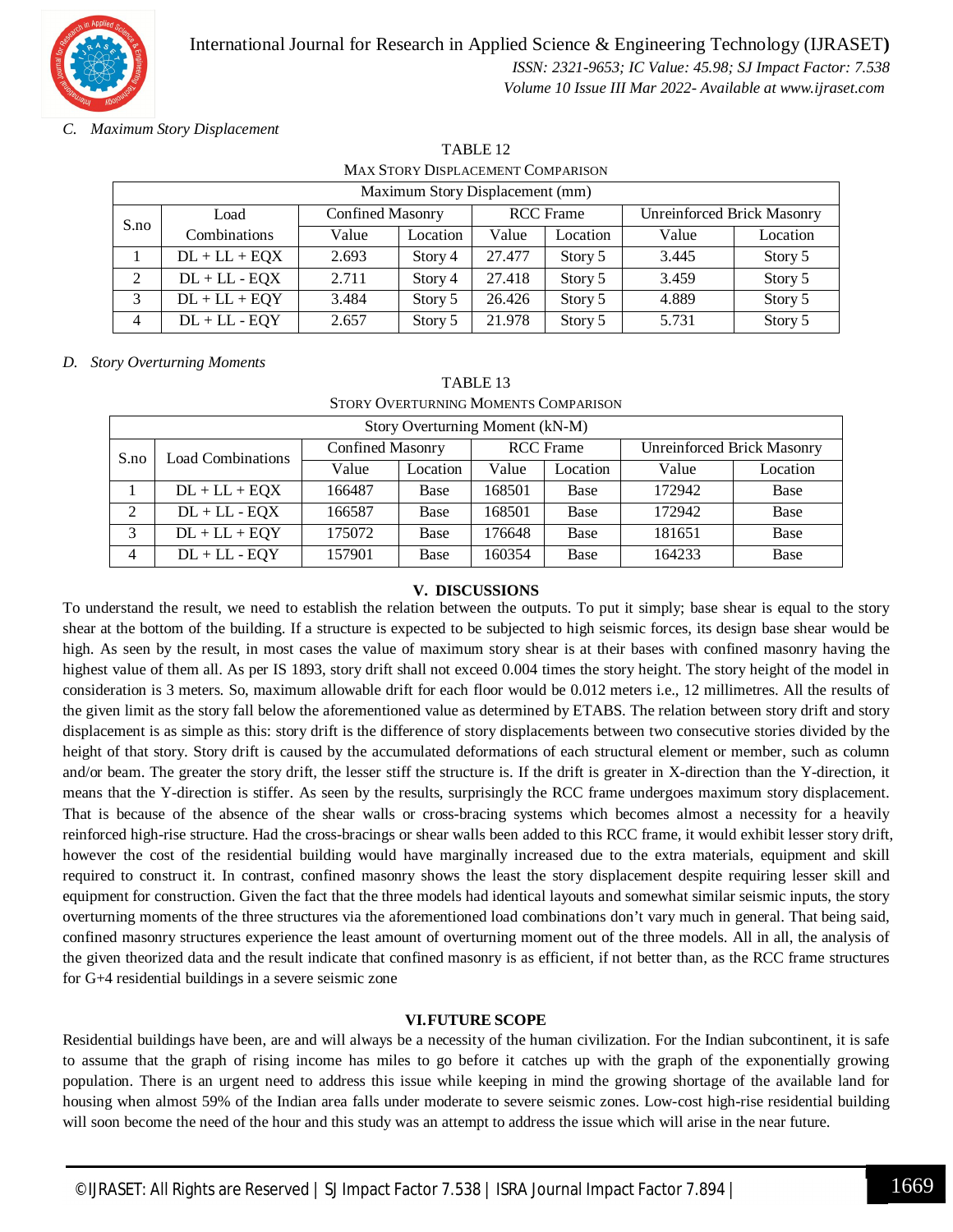

#### *C. Maximum Story Displacement*

| TABLE <sub>12</sub>                      |  |
|------------------------------------------|--|
| <b>MAX STORY DISPLACEMENT COMPARISON</b> |  |

| Maximum Story Displacement (mm) |                 |                         |          |                  |          |                            |          |  |  |
|---------------------------------|-----------------|-------------------------|----------|------------------|----------|----------------------------|----------|--|--|
| S.no                            | Load            | <b>Confined Masonry</b> |          | <b>RCC</b> Frame |          | Unreinforced Brick Masonry |          |  |  |
|                                 | Combinations    | Value                   | Location | Value            | Location | Value                      | Location |  |  |
|                                 | $DL + LL + EQX$ | 2.693                   | Story 4  | 27.477           | Story 5  | 3.445                      | Story 5  |  |  |
| 2                               | $DL + LL - EQX$ | 2.711                   | Story 4  | 27.418           | Story 5  | 3.459                      | Story 5  |  |  |
| 3                               | $DL + LL + EQY$ | 3.484                   | Story 5  | 26.426           | Story 5  | 4.889                      | Story 5  |  |  |
| $\overline{4}$                  | $DL + LL - EQY$ | 2.657                   | Story 5  | 21.978           | Story 5  | 5.731                      | Story 5  |  |  |

#### *D. Story Overturning Moments*

| STORY OVERTURNING MOMENTS COMPARISON |                          |                         |          |                  |          |                                   |          |  |  |
|--------------------------------------|--------------------------|-------------------------|----------|------------------|----------|-----------------------------------|----------|--|--|
| Story Overturning Moment (kN-M)      |                          |                         |          |                  |          |                                   |          |  |  |
| S.no                                 | <b>Load Combinations</b> | <b>Confined Masonry</b> |          | <b>RCC</b> Frame |          | <b>Unreinforced Brick Masonry</b> |          |  |  |
|                                      |                          | Value                   | Location | Value            | Location | Value                             | Location |  |  |
|                                      | $DL + LL + EQX$          | 166487                  | Base     | 168501           | Base     | 172942                            | Base     |  |  |
| 2                                    | $DL + LL - EQX$          | 166587                  | Base     | 168501           | Base     | 172942                            | Base     |  |  |
| 3                                    | $DL + LL + EQY$          | 175072                  | Base     | 176648           | Base     | 181651                            | Base     |  |  |
| 4                                    | $DL + LL - EQY$          | 157901                  | Base     | 160354           | Base     | 164233                            | Base     |  |  |

#### TABLE 13 STORY OVERTURNING MOMENTS COMPARISON

#### **V. DISCUSSIONS**

To understand the result, we need to establish the relation between the outputs. To put it simply; base shear is equal to the story shear at the bottom of the building. If a structure is expected to be subjected to high seismic forces, its design base shear would be high. As seen by the result, in most cases the value of maximum story shear is at their bases with confined masonry having the highest value of them all. As per IS 1893, story drift shall not exceed 0.004 times the story height. The story height of the model in consideration is 3 meters. So, maximum allowable drift for each floor would be 0.012 meters i.e., 12 millimetres. All the results of the given limit as the story fall below the aforementioned value as determined by ETABS. The relation between story drift and story displacement is as simple as this: story drift is the difference of story displacements between two consecutive stories divided by the height of that story. Story drift is caused by the accumulated deformations of each structural element or member, such as column and/or beam. The greater the story drift, the lesser stiff the structure is. If the drift is greater in X-direction than the Y-direction, it means that the Y-direction is stiffer. As seen by the results, surprisingly the RCC frame undergoes maximum story displacement. That is because of the absence of the shear walls or cross-bracing systems which becomes almost a necessity for a heavily reinforced high-rise structure. Had the cross-bracings or shear walls been added to this RCC frame, it would exhibit lesser story drift, however the cost of the residential building would have marginally increased due to the extra materials, equipment and skill required to construct it. In contrast, confined masonry shows the least the story displacement despite requiring lesser skill and equipment for construction. Given the fact that the three models had identical layouts and somewhat similar seismic inputs, the story overturning moments of the three structures via the aforementioned load combinations don't vary much in general. That being said, confined masonry structures experience the least amount of overturning moment out of the three models. All in all, the analysis of the given theorized data and the result indicate that confined masonry is as efficient, if not better than, as the RCC frame structures for G+4 residential buildings in a severe seismic zone

#### **VI.FUTURE SCOPE**

Residential buildings have been, are and will always be a necessity of the human civilization. For the Indian subcontinent, it is safe to assume that the graph of rising income has miles to go before it catches up with the graph of the exponentially growing population. There is an urgent need to address this issue while keeping in mind the growing shortage of the available land for housing when almost 59% of the Indian area falls under moderate to severe seismic zones. Low-cost high-rise residential building will soon become the need of the hour and this study was an attempt to address the issue which will arise in the near future.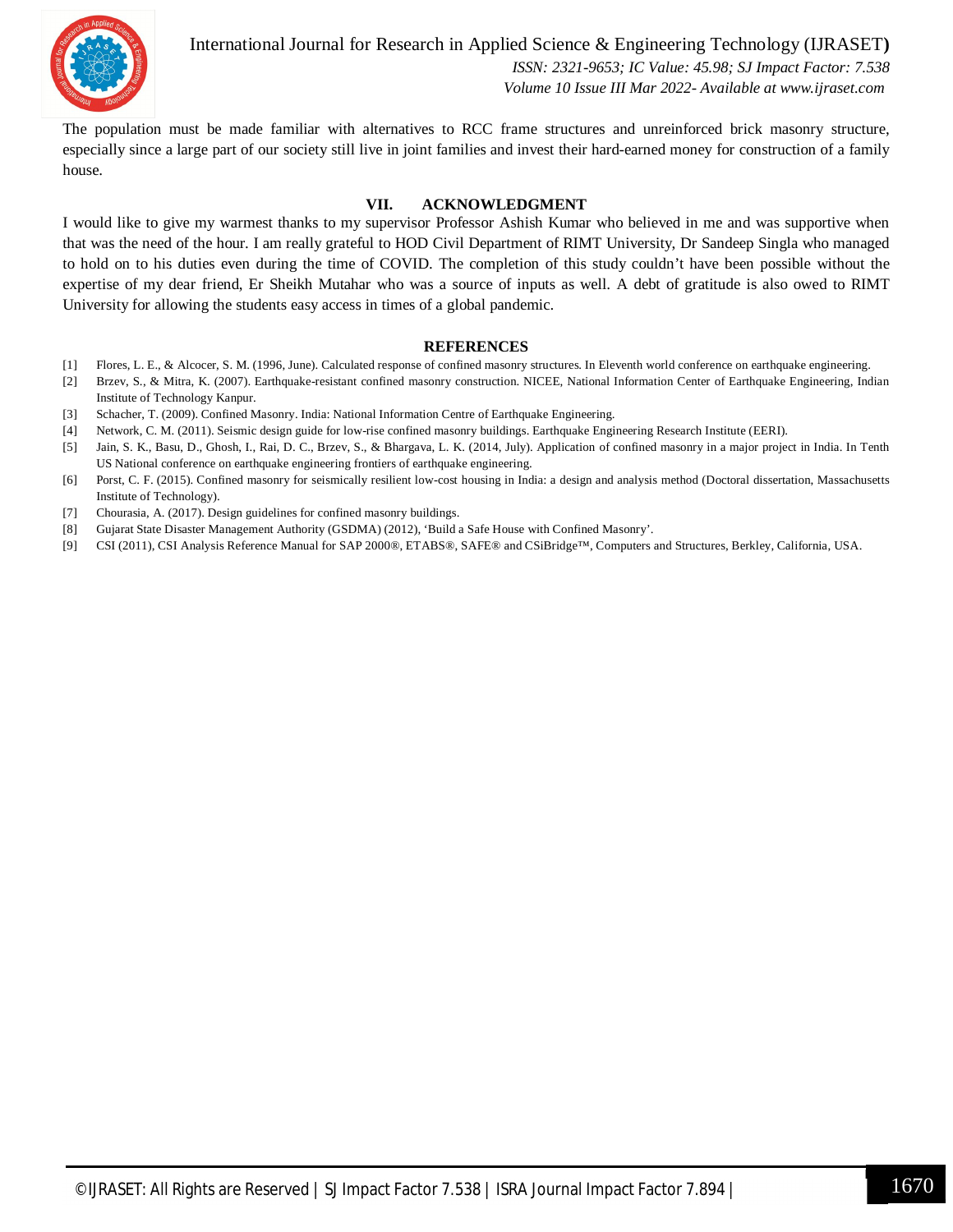

International Journal for Research in Applied Science & Engineering Technology (IJRASET**)**  *ISSN: 2321-9653; IC Value: 45.98; SJ Impact Factor: 7.538*

 *Volume 10 Issue III Mar 2022- Available at www.ijraset.com*

The population must be made familiar with alternatives to RCC frame structures and unreinforced brick masonry structure, especially since a large part of our society still live in joint families and invest their hard-earned money for construction of a family house.

#### **VII. ACKNOWLEDGMENT**

I would like to give my warmest thanks to my supervisor Professor Ashish Kumar who believed in me and was supportive when that was the need of the hour. I am really grateful to HOD Civil Department of RIMT University, Dr Sandeep Singla who managed to hold on to his duties even during the time of COVID. The completion of this study couldn't have been possible without the expertise of my dear friend, Er Sheikh Mutahar who was a source of inputs as well. A debt of gratitude is also owed to RIMT University for allowing the students easy access in times of a global pandemic.

#### **REFERENCES**

- [1] Flores, L. E., & Alcocer, S. M. (1996, June). Calculated response of confined masonry structures. In Eleventh world conference on earthquake engineering.
- [2] Brzev, S., & Mitra, K. (2007). Earthquake-resistant confined masonry construction. NICEE, National Information Center of Earthquake Engineering, Indian Institute of Technology Kanpur.
- [3] Schacher, T. (2009). Confined Masonry. India: National Information Centre of Earthquake Engineering.
- [4] Network, C. M. (2011). Seismic design guide for low-rise confined masonry buildings. Earthquake Engineering Research Institute (EERI).
- [5] Jain, S. K., Basu, D., Ghosh, I., Rai, D. C., Brzev, S., & Bhargava, L. K. (2014, July). Application of confined masonry in a major project in India. In Tenth US National conference on earthquake engineering frontiers of earthquake engineering.
- [6] Porst, C. F. (2015). Confined masonry for seismically resilient low-cost housing in India: a design and analysis method (Doctoral dissertation, Massachusetts Institute of Technology).
- [7] Chourasia, A. (2017). Design guidelines for confined masonry buildings.
- [8] Gujarat State Disaster Management Authority (GSDMA) (2012), 'Build a Safe House with Confined Masonry'.
- [9] CSI (2011), CSI Analysis Reference Manual for SAP 2000®, ETABS®, SAFE® and CSiBridge™, Computers and Structures, Berkley, California, USA.